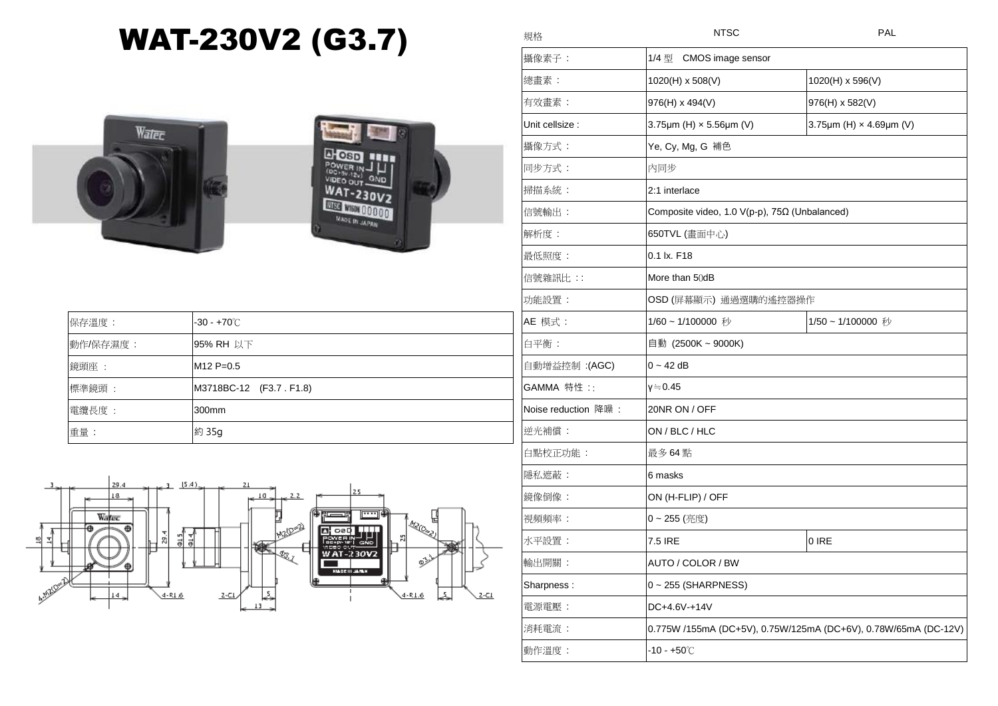## WAT-230V2 (G3.7)





| 保存溫度:    | $-30 - +70^{\circ}$ C    |
|----------|--------------------------|
| 動作/保存濕度: | 95% RH 以下                |
| 鏡頭座:     | $M12 P=0.5$              |
| 標準鏡頭:    | M3718BC-12 (F3.7 . F1.8) |
| 電纜長度:    | 300mm                    |
| 重量:      | 約 35g                    |



| 規格                  | <b>NTSC</b>                                                     | PAL                                        |  |
|---------------------|-----------------------------------------------------------------|--------------------------------------------|--|
| 攝像素子:               | 1/4 型<br>CMOS image sensor                                      |                                            |  |
| 總畫素:                | 1020(H) x 508(V)                                                | 1020(H) x 596(V)                           |  |
| 有效畫素:               | 976(H) x 494(V)                                                 | 976(H) x 582(V)                            |  |
| Unit cellsize :     | 3.75 $\mu$ m (H) $\times$ 5.56 $\mu$ m (V)                      | 3.75 $\mu$ m (H) $\times$ 4.69 $\mu$ m (V) |  |
| 攝像方式:               | Ye, Cy, Mg, G 補色                                                |                                            |  |
| 同步方式:               | 内同步                                                             |                                            |  |
| 掃描系統:               | 2:1 interlace                                                   |                                            |  |
| 信號輸出:               | Composite video, 1.0 V(p-p), 75Ω (Unbalanced)                   |                                            |  |
| 解析度:                | 650TVL (畫面中心)                                                   |                                            |  |
| 最低照度:               | 0.1 lx. F18                                                     |                                            |  |
| 信號雜訊比 : :           | More than 50dB                                                  |                                            |  |
| 功能設置:               | OSD (屏幕顯示) 通過選購的遙控器操作                                           |                                            |  |
| AE 模式:              | 1/60~1/100000 秒                                                 | 1/50~1/100000 秒                            |  |
| 白平衡:                | 自動 (2500K~9000K)                                                |                                            |  |
| 自動增益控制 :(AGC)       | 0 ~ 42 dB                                                       |                                            |  |
| GAMMA 特性 ::         | γ≒0.45                                                          |                                            |  |
| Noise reduction 降噪: | 20NR ON / OFF                                                   |                                            |  |
| 逆光補償:               | ON / BLC / HLC                                                  |                                            |  |
| 白點校正功能:             | 最多 64 點                                                         |                                            |  |
| 隱私遮蔽:               | 6 masks                                                         |                                            |  |
| 鏡像倒像:               | ON (H-FLIP) / OFF                                               |                                            |  |
| 視頻頻率:               | 0~255 (亮度)                                                      |                                            |  |
| 水平設置:               | 7.5 IRE                                                         | 0 IRE                                      |  |
| 輸出開關:               | AUTO / COLOR / BW                                               |                                            |  |
| Sharpness:          | 0~255 (SHARPNESS)                                               |                                            |  |
| 電源電壓:               | DC+4.6V-+14V                                                    |                                            |  |
| 消耗電流:               | 0.775W /155mA (DC+5V), 0.75W/125mA (DC+6V), 0.78W/65mA (DC-12V) |                                            |  |
| 動作溫度:               | $-10 - +50^{\circ}$ C                                           |                                            |  |
|                     |                                                                 |                                            |  |